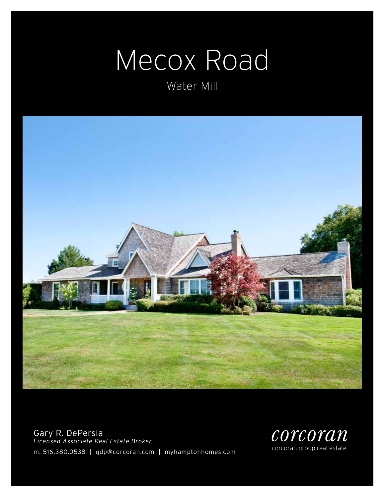# Mecox Road

Water Mill



Gary R. DePersia *Licensed Associate Real Estate Broker* m: 516.380.0538 | gdp@corcoran.com | myhamptonhomes.com

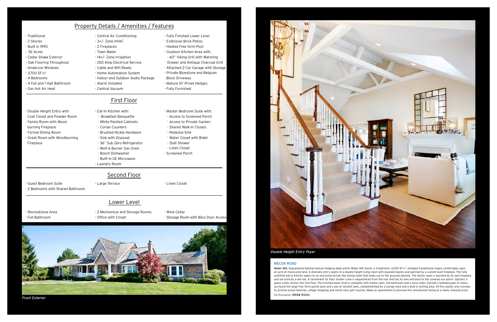#### MECOX ROAD

Water Mill. Sequestered behind mature hedging deep within Water Mill South, a 4 bedroom, 4,000 SF+/- shingled tranditional reigns comfortably upon an acre of manicured land. A dramatic entry opens to a double height living room with exposed beams and warmed by a custom built fireplace. The fully outfitted eat-in kitchen opens to an oversized atrium-like dining room that looks out to the grounds beyond. The family room is warmed by its own fireplace and serviced by a wet bar. A convenient 1st floor master suite is sequestered from the rest and has its own entrance to the covered sun porch. Upstairs 3 guest suites anchor the 2nd floor. The finished lower level is complete with media room, full bathroom and a wine cellar. Outside a kaleidoscope of colors surround the large free form gunite pool and a sea of verdant lawn, complemented by a lounge area and a built-in grilling area. All this awaits only minutes to pristine ocean beaches, village shopping and world class golf courses. Make an apointment to preview this sensational listing at a newly reduced price. Co-Exclusive. WEB# 51243

### First Floor

#### Lower Level

| Property Details / Amenities / Features |                                    |                                      |
|-----------------------------------------|------------------------------------|--------------------------------------|
| - Traditional                           | - Central Air Conditioning         | - Fully Finished Lower Level         |
| - 2 Stories                             | - 3+/- Zone HVAC                   | - Extensive Brick Patios             |
| - Built in 1993                         | - 2 Fireplaces                     | - Heated Free form Pool              |
| - .92 Acres                             | - Town Water                       | - Outdoor Kitchen Area with:         |
| - Cedar Shake Exterior                  | -14+/- Zone Irrigation             | - 60" Viking Grill with Warming      |
| - Oak Flooring Throughout               | - 250 Amp Electrical Service       | Drawer and Antique Charcoal Grill    |
| - Anderson Windows                      | - Cable and Wifi Ready             | - Attached 2-Car Garage with Storage |
| $-3.700$ SF+/-                          | - Home Automation System           | - Private Bluestone and Belgium      |
| - 4 Bedrooms                            | - Indoor and Outdoor Audio Package | <b>Block Driveway</b>                |
| - 4 Full and 1 Half Bathroom            | - Alarm Installed                  | - Mature 10' Privet Hedges           |
| - Gas Hot Air Heat                      | - Central Vacuum                   | - Fully Furnished                    |
|                                         |                                    |                                      |

- Double Height Entry with Coat Closet and Powder Room
- Family Room with Wood burning Fireplace
- Formal Dining Room - Great Room with Woodburning
- Fireplace
- Eat-in Kitchen with: - Breakfast Banquette
- White Painted Cabinets
- Corian Counters
- Brushed Nickle Hardware
- Sink with Disposal
- 36" Sub Zero Refrigerator - Wolf 6 Burner Gas Oven
- Bosch Dishwasher
- Built-in GE Microwave
- Laundry Room
	- Second Floor

- Recreational Area
- Full Bathroom
- 2-Mechanical and Storage Rooms - Office with Closet
- Wine Cellar - Storage Room with Bilco Door Access
- Guest Bedroom Suite
- 2 Bedrooms with Shared Bathroom

- Large Terrace  $\overline{\phantom{a}}$  - Linen Closet

- Master Bedroom Suite with: - Access to Screened Porch - Access to Private Garden - Shared Walk-in Closets

- Pedestal Sink

- Water Closet with Bidet

 - Stall Shower - Linen Closet - Screened Porch

Double Height Entry Foyer



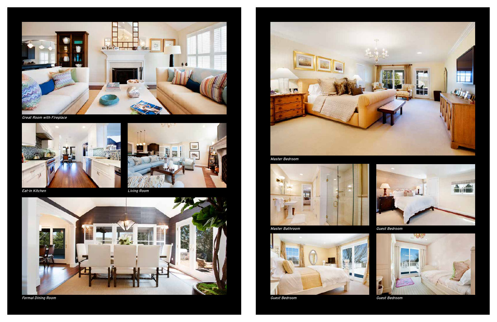Master Bathroom



Guest Bedroom



Guest Bedroom



Guest Bedroom



Great Room with Fireplace





**Eat-in Kitchen** Living Room



Master Bedroom



Formal Dining Room

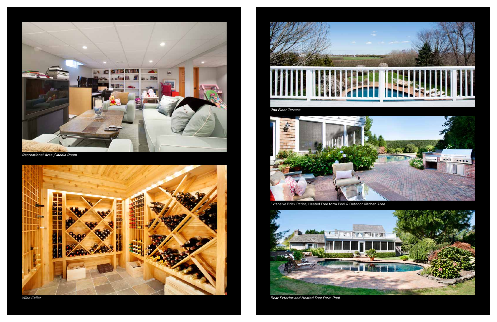

Recreational Area / Media Room







Rear Exterior and Heated Free Form Pool

Extensive Brick Patios, Heated Free form Pool & Outdoor Kitchen Area



Wine Cellar